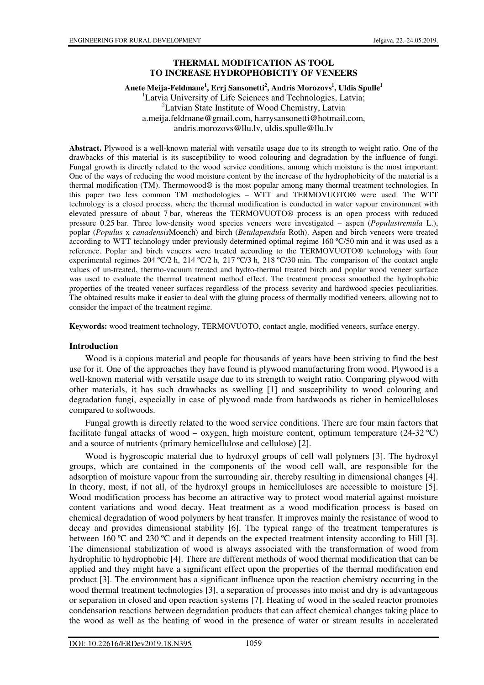# **THERMAL MODIFICATION AS TOOL TO INCREASE HYDROPHOBICITY OF VENEERS**

## **Anete Meija-Feldmane<sup>1</sup> , Errj Sansonetti<sup>2</sup> , Andris Morozovs<sup>1</sup> , Uldis Spulle<sup>1</sup>**

<sup>1</sup>Latvia University of Life Sciences and Technologies, Latvia; <sup>2</sup>Latvian State Institute of Wood Chemistry, Latvia a.meija.feldmane@gmail.com, harrysansonetti@hotmail.com, andris.morozovs@llu.lv, uldis.spulle@llu.lv

**Abstract.** Plywood is a well-known material with versatile usage due to its strength to weight ratio. One of the drawbacks of this material is its susceptibility to wood colouring and degradation by the influence of fungi. Fungal growth is directly related to the wood service conditions, among which moisture is the most important. One of the ways of reducing the wood moisture content by the increase of the hydrophobicity of the material is a thermal modification (TM). Thermowood® is the most popular among many thermal treatment technologies. In this paper two less common TM methodologies – WTT and TERMOVUOTO® were used. The WTT technology is a closed process, where the thermal modification is conducted in water vapour environment with elevated pressure of about 7 bar, whereas the TERMOVUOTO® process is an open process with reduced pressure 0.25 bar. Three low-density wood species veneers were investigated – aspen (*Populustremula* L.), poplar (*Populus* x *canadensis*Moench) and birch (*Betulapendula* Roth). Aspen and birch veneers were treated according to WTT technology under previously determined optimal regime 160 ºC/50 min and it was used as a reference. Poplar and birch veneers were treated according to the TERMOVUOTO® technology with four experimental regimes 204 ºC/2 h, 214 ºC/2 h, 217 ºC/3 h, 218 ºC/30 min. The comparison of the contact angle values of un-treated, thermo-vacuum treated and hydro-thermal treated birch and poplar wood veneer surface was used to evaluate the thermal treatment method effect. The treatment process smoothed the hydrophobic properties of the treated veneer surfaces regardless of the process severity and hardwood species peculiarities. The obtained results make it easier to deal with the gluing process of thermally modified veneers, allowing not to consider the impact of the treatment regime.

**Keywords:** wood treatment technology, TERMOVUOTO, contact angle, modified veneers, surface energy.

## **Introduction**

Wood is a copious material and people for thousands of years have been striving to find the best use for it. One of the approaches they have found is plywood manufacturing from wood. Plywood is a well-known material with versatile usage due to its strength to weight ratio. Comparing plywood with other materials, it has such drawbacks as swelling [1] and susceptibility to wood colouring and degradation fungi, especially in case of plywood made from hardwoods as richer in hemicelluloses compared to softwoods.

Fungal growth is directly related to the wood service conditions. There are four main factors that facilitate fungal attacks of wood – oxygen, high moisture content, optimum temperature (24-32 °C) and a source of nutrients (primary hemicellulose and cellulose) [2].

Wood is hygroscopic material due to hydroxyl groups of cell wall polymers [3]. The hydroxyl groups, which are contained in the components of the wood cell wall, are responsible for the adsorption of moisture vapour from the surrounding air, thereby resulting in dimensional changes [4]. In theory, most, if not all, of the hydroxyl groups in hemicelluloses are accessible to moisture [5]. Wood modification process has become an attractive way to protect wood material against moisture content variations and wood decay. Heat treatment as a wood modification process is based on chemical degradation of wood polymers by heat transfer. It improves mainly the resistance of wood to decay and provides dimensional stability [6]. The typical range of the treatment temperatures is between 160 ºC and 230 ºC and it depends on the expected treatment intensity according to Hill [3]. The dimensional stabilization of wood is always associated with the transformation of wood from hydrophilic to hydrophobic [4]. There are different methods of wood thermal modification that can be applied and they might have a significant effect upon the properties of the thermal modification end product [3]. The environment has a significant influence upon the reaction chemistry occurring in the wood thermal treatment technologies [3], a separation of processes into moist and dry is advantageous or separation in closed and open reaction systems [7]. Heating of wood in the sealed reactor promotes condensation reactions between degradation products that can affect chemical changes taking place to the wood as well as the heating of wood in the presence of water or stream results in accelerated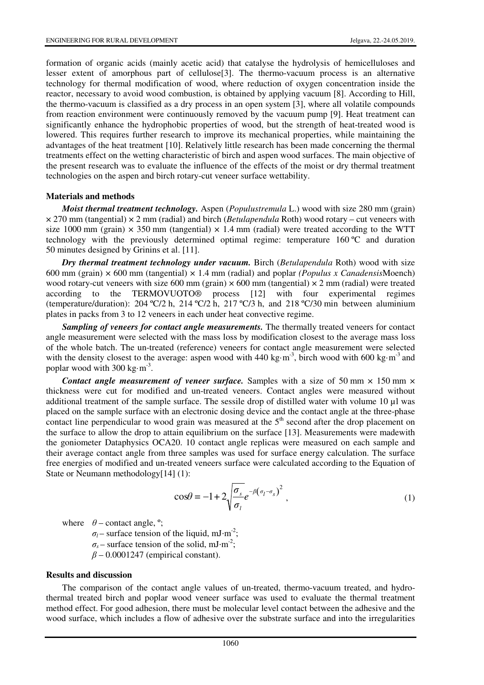formation of organic acids (mainly acetic acid) that catalyse the hydrolysis of hemicelluloses and lesser extent of amorphous part of cellulose[3]. The thermo-vacuum process is an alternative technology for thermal modification of wood, where reduction of oxygen concentration inside the reactor, necessary to avoid wood combustion, is obtained by applying vacuum [8]. According to Hill, the thermo-vacuum is classified as a dry process in an open system [3], where all volatile compounds from reaction environment were continuously removed by the vacuum pump [9]. Heat treatment can significantly enhance the hydrophobic properties of wood, but the strength of heat-treated wood is lowered. This requires further research to improve its mechanical properties, while maintaining the advantages of the heat treatment [10]. Relatively little research has been made concerning the thermal treatments effect on the wetting characteristic of birch and aspen wood surfaces. The main objective of the present research was to evaluate the influence of the effects of the moist or dry thermal treatment technologies on the aspen and birch rotary-cut veneer surface wettability.

#### **Materials and methods**

*Moist thermal treatment technology.* Aspen (*Populustremula* L.) wood with size 280 mm (grain) × 270 mm (tangential) × 2 mm (radial) and birch (*Betulapendula* Roth) wood rotary – cut veneers with size 1000 mm (grain)  $\times$  350 mm (tangential)  $\times$  1.4 mm (radial) were treated according to the WTT technology with the previously determined optimal regime: temperature 160 ºC and duration 50 minutes designed by Grinins et al. [11].

*Dry thermal treatment technology under vacuum.* Birch (*Betulapendula* Roth) wood with size 600 mm (grain) × 600 mm (tangential) × 1.4 mm (radial) and poplar *(Populus x Canadensis*Moench) wood rotary-cut veneers with size 600 mm (grain)  $\times$  600 mm (tangential)  $\times$  2 mm (radial) were treated according to the TERMOVUOTO® process [12] with four experimental regimes (temperature/duration):  $204 \text{ °C}/2$  h,  $214 \text{ °C}/2$  h,  $217 \text{ °C}/3$  h, and  $218 \text{ °C}/30$  min between aluminium plates in packs from 3 to 12 veneers in each under heat convective regime.

*Sampling of veneers for contact angle measurements.* The thermally treated veneers for contact angle measurement were selected with the mass loss by modification closest to the average mass loss of the whole batch. The un-treated (reference) veneers for contact angle measurement were selected with the density closest to the average: aspen wood with 440 kg·m<sup>-3</sup>, birch wood with 600 kg·m<sup>-3</sup> and poplar wood with  $300 \text{ kg} \cdot \text{m}^{-3}$ .

*Contact angle measurement of veneer surface.* Samples with a size of 50 mm  $\times$  150 mm  $\times$ thickness were cut for modified and un-treated veneers. Contact angles were measured without additional treatment of the sample surface. The sessile drop of distilled water with volume 10 µl was placed on the sample surface with an electronic dosing device and the contact angle at the three-phase contact line perpendicular to wood grain was measured at the  $5<sup>th</sup>$  second after the drop placement on the surface to allow the drop to attain equilibrium on the surface [13]. Measurements were madewith the goniometer Dataphysics OCA20. 10 contact angle replicas were measured on each sample and their average contact angle from three samples was used for surface energy calculation. The surface free energies of modified and un-treated veneers surface were calculated according to the Equation of State or Neumann methodology[14] (1):

$$
\cos\theta = -1 + 2\sqrt{\frac{\sigma_s}{\sigma_l}}e^{-\beta(\sigma_l - \sigma_s)^2},\tag{1}
$$

where  $\theta$  – contact angle, <sup>o</sup>;

 $\sigma_l$  – surface tension of the liquid, mJ·m<sup>-2</sup>;  $\sigma_s$  – surface tension of the solid, mJ·m<sup>-2</sup>;

*β* – 0.0001247 (empirical constant).

#### **Results and discussion**

The comparison of the contact angle values of un-treated, thermo-vacuum treated, and hydrothermal treated birch and poplar wood veneer surface was used to evaluate the thermal treatment method effect. For good adhesion, there must be molecular level contact between the adhesive and the wood surface, which includes a flow of adhesive over the substrate surface and into the irregularities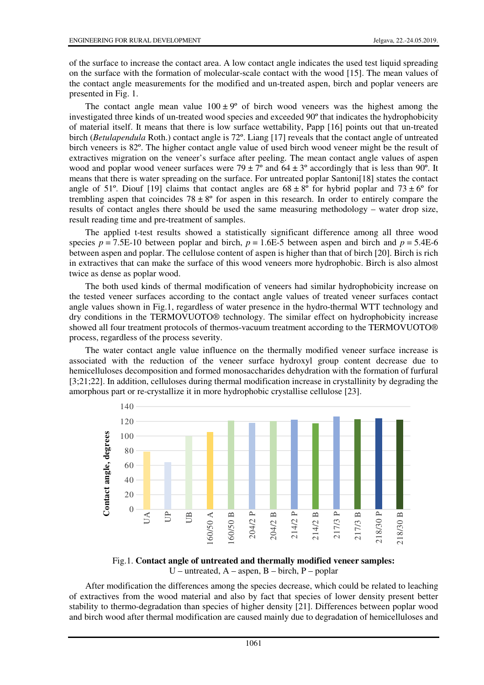of the surface to increase the contact area. A low contact angle indicates the used test liquid spreading on the surface with the formation of molecular-scale contact with the wood [15]. The mean values of the contact angle measurements for the modified and un-treated aspen, birch and poplar veneers are presented in Fig. 1.

The contact angle mean value  $100 \pm 9^{\circ}$  of birch wood veneers was the highest among the investigated three kinds of un-treated wood species and exceeded 90º that indicates the hydrophobicity of material itself. It means that there is low surface wettability, Papp [16] points out that un-treated birch (*Betulapendula* Roth.) contact angle is 72º. Liang [17] reveals that the contact angle of untreated birch veneers is 82º. The higher contact angle value of used birch wood veneer might be the result of extractives migration on the veneer's surface after peeling. The mean contact angle values of aspen wood and poplar wood veneer surfaces were  $79 \pm 7^{\circ}$  and  $64 \pm 3^{\circ}$  accordingly that is less than 90°. It means that there is water spreading on the surface. For untreated poplar Santoni[18] states the contact angle of 51°. Diouf [19] claims that contact angles are  $68 \pm 8^\circ$  for hybrid poplar and  $73 \pm 6^\circ$  for trembling aspen that coincides  $78 \pm 8^\circ$  for aspen in this research. In order to entirely compare the results of contact angles there should be used the same measuring methodology – water drop size, result reading time and pre-treatment of samples.

The applied t-test results showed a statistically significant difference among all three wood species  $p = 7.5E-10$  between poplar and birch,  $p = 1.6E-5$  between aspen and birch and  $p = 5.4E-6$ between aspen and poplar. The cellulose content of aspen is higher than that of birch [20]. Birch is rich in extractives that can make the surface of this wood veneers more hydrophobic. Birch is also almost twice as dense as poplar wood.

The both used kinds of thermal modification of veneers had similar hydrophobicity increase on the tested veneer surfaces according to the contact angle values of treated veneer surfaces contact angle values shown in Fig.1, regardless of water presence in the hydro-thermal WTT technology and dry conditions in the TERMOVUOTO® technology. The similar effect on hydrophobicity increase showed all four treatment protocols of thermos-vacuum treatment according to the TERMOVUOTO® process, regardless of the process severity.

The water contact angle value influence on the thermally modified veneer surface increase is associated with the reduction of the veneer surface hydroxyl group content decrease due to hemicelluloses decomposition and formed monosaccharides dehydration with the formation of furfural [3;21;22]. In addition, celluloses during thermal modification increase in crystallinity by degrading the amorphous part or re-crystallize it in more hydrophobic crystallise cellulose [23].



Fig.1. **Contact angle of untreated and thermally modified veneer samples:**  U – untreated,  $A$  – aspen,  $B$  – birch,  $P$  – poplar

After modification the differences among the species decrease, which could be related to leaching of extractives from the wood material and also by fact that species of lower density present better stability to thermo-degradation than species of higher density [21]. Differences between poplar wood and birch wood after thermal modification are caused mainly due to degradation of hemicelluloses and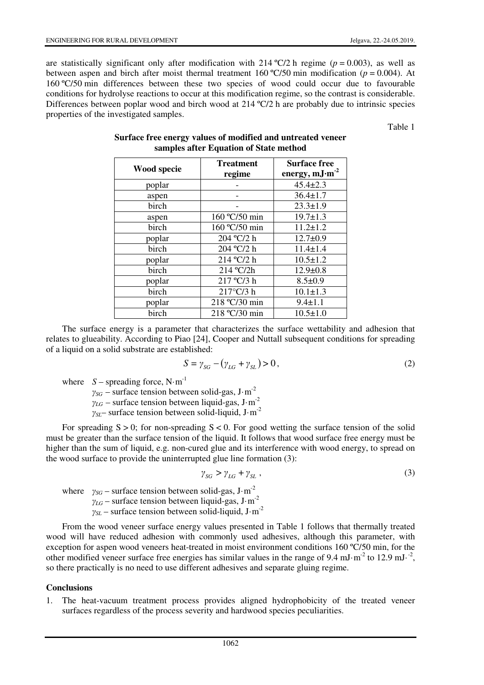are statistically significant only after modification with 214 °C/2 h regime ( $p = 0.003$ ), as well as between aspen and birch after moist thermal treatment 160 °C/50 min modification ( $p = 0.004$ ). At 160 ºC/50 min differences between these two species of wood could occur due to favourable conditions for hydrolyse reactions to occur at this modification regime, so the contrast is considerable. Differences between poplar wood and birch wood at 214 °C/2 h are probably due to intrinsic species properties of the investigated samples.

Table 1

| Wood specie | <b>Treatment</b> | <b>Surface free</b> |
|-------------|------------------|---------------------|
|             | regime           | energy, $mJ·m-2$    |
| poplar      |                  | $45.4 \pm 2.3$      |
| aspen       |                  | $36.4 \pm 1.7$      |
| birch       |                  | $23.3 \pm 1.9$      |
| aspen       | 160 °C/50 min    | $19.7 \pm 1.3$      |
| birch       | 160 °C/50 min    | $11.2 \pm 1.2$      |
| poplar      | 204 °C/2 h       | $12.7 \pm 0.9$      |
| birch       | 204 °C/2 h       | $11.4 \pm 1.4$      |
| poplar      | 214 °C/2 h       | $10.5 \pm 1.2$      |
| birch       | 214 °C/2h        | $12.9 \pm 0.8$      |
| poplar      | 217 °C/3 h       | $8.5 \pm 0.9$       |
| birch       | 217°C/3 h        | $10.1 \pm 1.3$      |
| poplar      | 218 °C/30 min    | $9.4 \pm 1.1$       |
| birch       | 218 °C/30 min    | $10.5 \pm 1.0$      |

## **Surface free energy values of modified and untreated veneer samples after Equation of State method**

The surface energy is a parameter that characterizes the surface wettability and adhesion that relates to glueability. According to Piao [24], Cooper and Nuttall subsequent conditions for spreading of a liquid on a solid substrate are established:

$$
S = \gamma_{SG} - (\gamma_{LG} + \gamma_{SL}) > 0, \qquad (2)
$$

where  $S$  – spreading force, N·m<sup>-1</sup>

 $\gamma_{SG}$  – surface tension between solid-gas, J·m<sup>-2</sup>  $\gamma_{LG}$  – surface tension between liquid-gas, J·m<sup>-2</sup>

*γSL*– surface tension between solid-liquid, J·m-2

For spreading  $S > 0$ ; for non-spreading  $S < 0$ . For good wetting the surface tension of the solid must be greater than the surface tension of the liquid. It follows that wood surface free energy must be higher than the sum of liquid, e.g. non-cured glue and its interference with wood energy, to spread on the wood surface to provide the uninterrupted glue line formation (3):

$$
\gamma_{SG} > \gamma_{LG} + \gamma_{SL} \tag{3}
$$

where  $\gamma_{SG}$  – surface tension between solid-gas, J·m<sup>-2</sup>  $\gamma_{LG}$  – surface tension between liquid-gas, J·m<sup>-2</sup> *γSL* – surface tension between solid-liquid, J·m-2

From the wood veneer surface energy values presented in Table 1 follows that thermally treated wood will have reduced adhesion with commonly used adhesives, although this parameter, with exception for aspen wood veneers heat-treated in moist environment conditions 160 °C/50 min, for the other modified veneer surface free energies has similar values in the range of 9.4 mJ $\cdot$ m<sup>-2</sup> to 12.9 mJ $\cdot$ <sup>-2</sup>, so there practically is no need to use different adhesives and separate gluing regime.

#### **Conclusions**

1. The heat-vacuum treatment process provides aligned hydrophobicity of the treated veneer surfaces regardless of the process severity and hardwood species peculiarities.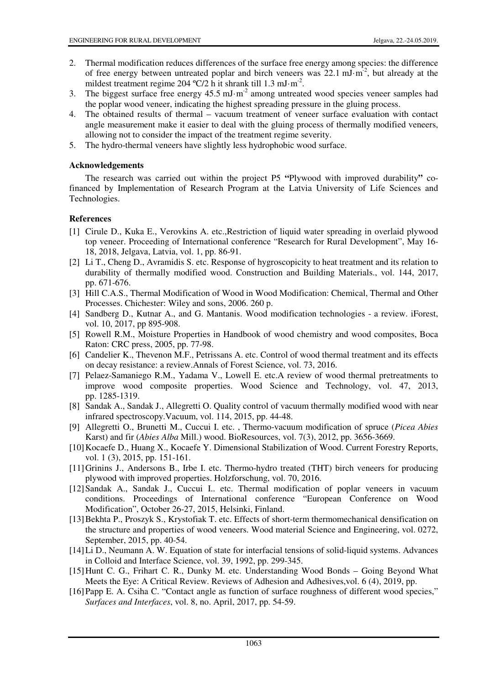- 2. Thermal modification reduces differences of the surface free energy among species: the difference of free energy between untreated poplar and birch veneers was  $22.1 \text{ mJ} \cdot \text{m}^2$ , but already at the mildest treatment regime  $204 \text{ °C}/2$  h it shrank till 1.3 mJ·m<sup>-2</sup>.
- 3. The biggest surface free energy  $45.5 \text{ mJ} \cdot \text{m}^2$  among untreated wood species veneer samples had the poplar wood veneer, indicating the highest spreading pressure in the gluing process.
- 4. The obtained results of thermal vacuum treatment of veneer surface evaluation with contact angle measurement make it easier to deal with the gluing process of thermally modified veneers, allowing not to consider the impact of the treatment regime severity.
- 5. The hydro-thermal veneers have slightly less hydrophobic wood surface.

## **Acknowledgements**

The research was carried out within the project P5 **"**Plywood with improved durability**"** cofinanced by Implementation of Research Program at the Latvia University of Life Sciences and Technologies.

# **References**

- [1] Cirule D., Kuka E., Verovkins A. etc.,Restriction of liquid water spreading in overlaid plywood top veneer. Proceeding of International conference "Research for Rural Development", May 16- 18, 2018, Jelgava, Latvia, vol. 1, pp. 86-91.
- [2] Li T., Cheng D., Avramidis S. etc. Response of hygroscopicity to heat treatment and its relation to durability of thermally modified wood. Construction and Building Materials., vol. 144, 2017, pp. 671-676.
- [3] Hill C.A.S., Thermal Modification of Wood in Wood Modification: Chemical, Thermal and Other Processes. Chichester: Wiley and sons, 2006. 260 p.
- [4] Sandberg D., Kutnar A., and G. Mantanis. Wood modification technologies a review. iForest, vol. 10, 2017, pp 895-908.
- [5] Rowell R.M., Moisture Properties in Handbook of wood chemistry and wood composites, Boca Raton: CRC press, 2005, pp. 77-98.
- [6] Candelier K., Thevenon M.F., Petrissans A. etc. Control of wood thermal treatment and its effects on decay resistance: a review.Annals of Forest Science, vol. 73, 2016.
- [7] Pelaez-Samaniego R.M., Yadama V., Lowell E. etc.A review of wood thermal pretreatments to improve wood composite properties. Wood Science and Technology, vol. 47, 2013, pp. 1285-1319.
- [8] Sandak A., Sandak J., Allegretti O. Quality control of vacuum thermally modified wood with near infrared spectroscopy.Vacuum, vol. 114, 2015, pp. 44-48.
- [9] Allegretti O., Brunetti M., Cuccui I. etc. , Thermo-vacuum modification of spruce (*Picea Abies* Karst) and fir (*Abies Alba* Mill.) wood. BioResources, vol. 7(3), 2012, pp. 3656-3669.
- [10] Kocaefe D., Huang X., Kocaefe Y. Dimensional Stabilization of Wood. Current Forestry Reports, vol. 1 (3), 2015, pp. 151-161.
- [11] Grinins J., Andersons B., Irbe I. etc. Thermo-hydro treated (THT) birch veneers for producing plywood with improved properties. Holzforschung, vol. 70, 2016.
- [12] Sandak A., Sandak J., Cuccui I.. etc. Thermal modification of poplar veneers in vacuum conditions. Proceedings of International conference "European Conference on Wood Modification", October 26-27, 2015, Helsinki, Finland.
- [13] Bekhta P., Proszyk S., Krystofiak T. etc. Effects of short-term thermomechanical densification on the structure and properties of wood veneers. Wood material Science and Engineering, vol. 0272, September, 2015, pp. 40-54.
- [14] Li D., Neumann A. W. Equation of state for interfacial tensions of solid-liquid systems. Advances in Colloid and Interface Science, vol. 39, 1992, pp. 299-345.
- [15] Hunt C. G., Frihart C. R., Dunky M. etc. Understanding Wood Bonds Going Beyond What Meets the Eye: A Critical Review. Reviews of Adhesion and Adhesives,vol. 6 (4), 2019, pp.
- [16] Papp E. A. Csiha C. "Contact angle as function of surface roughness of different wood species," *Surfaces and Interfaces*, vol. 8, no. April, 2017, pp. 54-59.